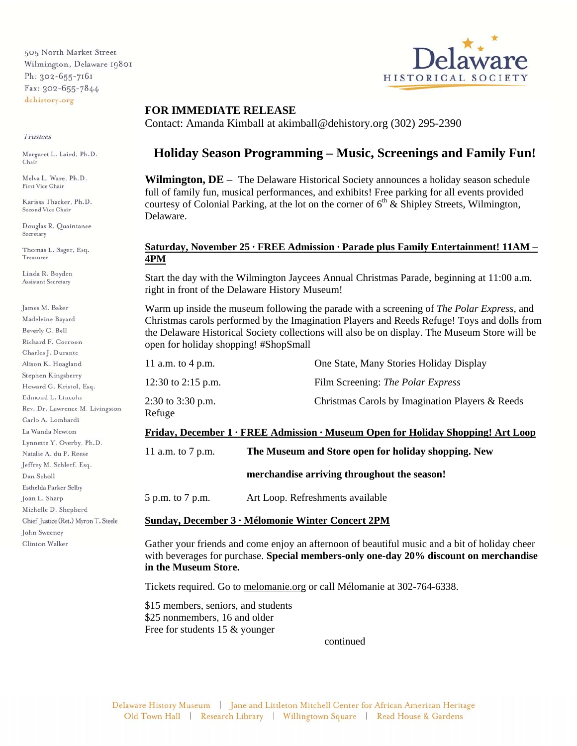505 North Market Street Wilmington, Delaware 19801 Ph: 302-655-7161 Fax: 302-655-7844 dehistory.org

#### Trustees

Margaret L. Laird, Ph.D. Chair

Melva L. Ware, Ph.D. First Vice Chair

Karissa Thacker, Ph.D. Second Vice Chair

Douglas R. Quaintance Secretary

Thomas L. Sager, Esq. Treasurer

Linda R. Boyden Assistant Secretary

James M. Baker Madeleine Bayard Beverly G. Bell Richard F. Corroon Charles J. Durante Alison K. Hoagland Stephen Kingsberry Howard G. Kristol, Esq. Edmond L. Lincoln Rev. Dr. Lawrence M. Livingston Carlo A. Lombardi La Wanda Newton Lynnette Y. Overby, Ph.D. Natalie A. du P. Reese Jeffrey M. Schlerf, Esq. Dan Scholl Esthelda Parker Selby Joan L. Sharp Michelle D. Shepherd Chief Justice (Ret.) Myron T. Steele John Sweeney Clinton Walker



### **FOR IMMEDIATE RELEASE**

Contact: Amanda Kimball at akimball@dehistory.org (302) 295-2390

# **Holiday Season Programming – Music, Screenings and Family Fun!**

**Wilmington, DE** – The Delaware Historical Society announces a holiday season schedule full of family fun, musical performances, and exhibits! Free parking for all events provided courtesy of Colonial Parking, at the lot on the corner of  $6<sup>th</sup>$  & Shipley Streets, Wilmington, Delaware.

### **Saturday, November 25 · FREE Admission · Parade plus Family Entertainment! 11AM – 4PM**

Start the day with the Wilmington Jaycees Annual Christmas Parade, beginning at 11:00 a.m. right in front of the Delaware History Museum!

Warm up inside the museum following the parade with a screening of *The Polar Express*, and Christmas carols performed by the Imagination Players and Reeds Refuge! Toys and dolls from the Delaware Historical Society collections will also be on display. The Museum Store will be open for holiday shopping! #ShopSmall

| -----                       |                                                 |
|-----------------------------|-------------------------------------------------|
| 2:30 to 3:30 p.m.<br>Refuge | Christmas Carols by Imagination Players & Reeds |
| 12:30 to 2:15 p.m.          | Film Screening: The Polar Express               |
| 11 a.m. to 4 p.m.           | One State, Many Stories Holiday Display         |

#### **Friday, December 1 · FREE Admission · Museum Open for Holiday Shopping! Art Loop**

11 a.m. to 7 p.m. **The Museum and Store open for holiday shopping. New** 

 **merchandise arriving throughout the season!** 

5 p.m. to 7 p.m. Art Loop. Refreshments available

#### **Sunday, December 3 · Mélomonie Winter Concert 2PM**

Gather your friends and come enjoy an afternoon of beautiful music and a bit of holiday cheer with beverages for purchase. **Special members-only one-day 20% discount on merchandise in the Museum Store.**

Tickets required. Go to melomanie.org or call Mélomanie at 302-764-6338.

\$15 members, seniors, and students \$25 nonmembers, 16 and older Free for students 15 & younger

continued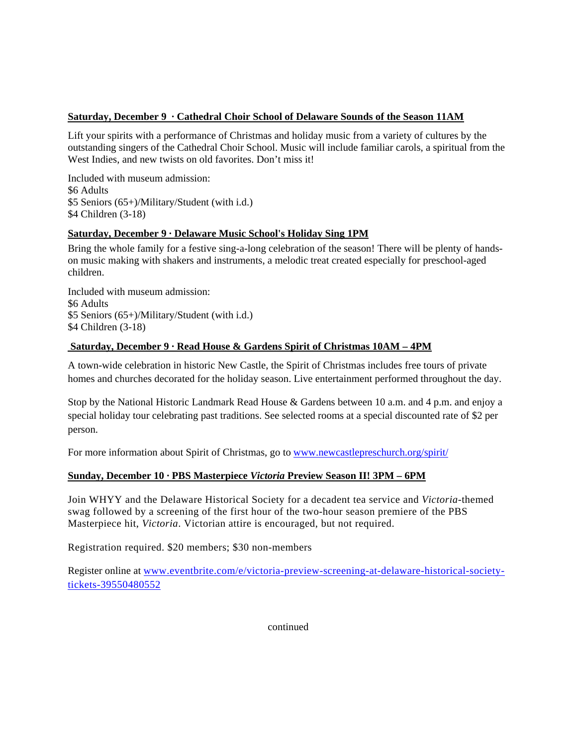# **Saturday, December 9 · Cathedral Choir School of Delaware Sounds of the Season 11AM**

Lift your spirits with a performance of Christmas and holiday music from a variety of cultures by the outstanding singers of the Cathedral Choir School. Music will include familiar carols, a spiritual from the West Indies, and new twists on old favorites. Don't miss it!

Included with museum admission: \$6 Adults \$5 Seniors (65+)/Military/Student (with i.d.) \$4 Children (3-18)

# **Saturday, December 9 · Delaware Music School's Holiday Sing 1PM**

Bring the whole family for a festive sing-a-long celebration of the season! There will be plenty of handson music making with shakers and instruments, a melodic treat created especially for preschool-aged children.

Included with museum admission: \$6 Adults \$5 Seniors (65+)/Military/Student (with i.d.) \$4 Children (3-18)

# **Saturday, December 9 · Read House & Gardens Spirit of Christmas 10AM – 4PM**

A town-wide celebration in historic New Castle, the Spirit of Christmas includes free tours of private homes and churches decorated for the holiday season. Live entertainment performed throughout the day.

Stop by the National Historic Landmark Read House & Gardens between 10 a.m. and 4 p.m. and enjoy a special holiday tour celebrating past traditions. See selected rooms at a special discounted rate of \$2 per person.

For more information about Spirit of Christmas, go to www.newcastlepreschurch.org/spirit/

# **Sunday, December 10 · PBS Masterpiece** *Victoria* **Preview Season II! 3PM – 6PM**

Join WHYY and the Delaware Historical Society for a decadent tea service and *Victoria*-themed swag followed by a screening of the first hour of the two-hour season premiere of the PBS Masterpiece hit, *Victoria*. Victorian attire is encouraged, but not required.

Registration required. \$20 members; \$30 non-members

Register online at www.eventbrite.com/e/victoria-preview-screening-at-delaware-historical-societytickets-39550480552

continued